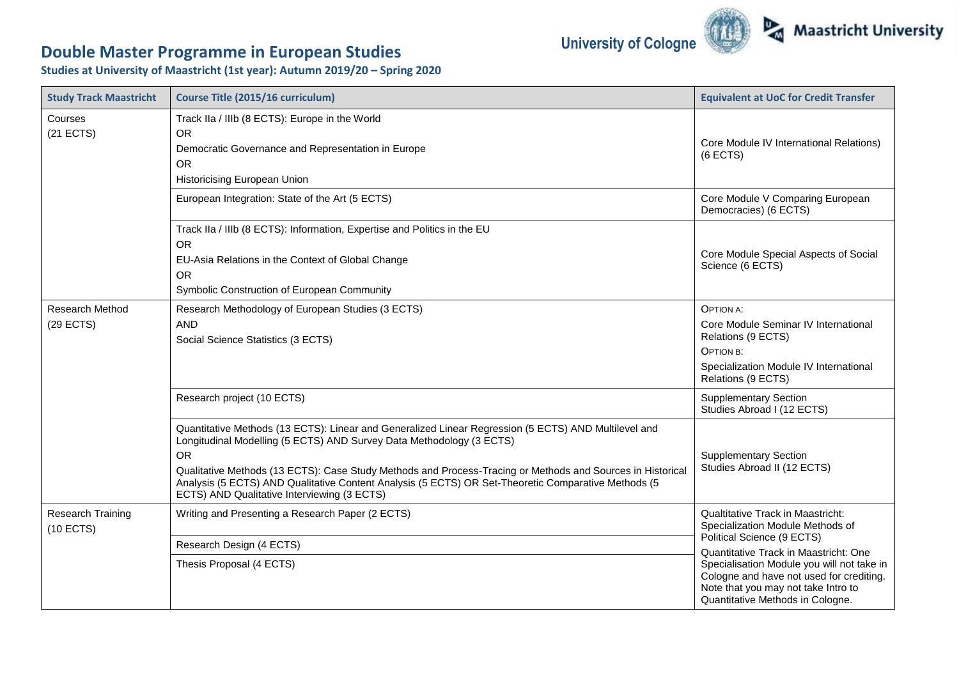## **University of Cologne**



## **Double Master Programme in European Studies**

**Studies at University of Maastricht (1st year): Autumn 2019/20 – Spring 2020**

| <b>Study Track Maastricht</b>         | Course Title (2015/16 curriculum)                                                                                                                                                                                                                                                                                                                                                                                                                             | <b>Equivalent at UoC for Credit Transfer</b>                                                                                                                                                               |
|---------------------------------------|---------------------------------------------------------------------------------------------------------------------------------------------------------------------------------------------------------------------------------------------------------------------------------------------------------------------------------------------------------------------------------------------------------------------------------------------------------------|------------------------------------------------------------------------------------------------------------------------------------------------------------------------------------------------------------|
| Courses<br>$(21$ ECTS)                | Track IIa / IIIb (8 ECTS): Europe in the World<br><b>OR</b><br>Democratic Governance and Representation in Europe<br><b>OR</b><br>Historicising European Union                                                                                                                                                                                                                                                                                                | Core Module IV International Relations)<br>$(6$ ECTS)                                                                                                                                                      |
|                                       | European Integration: State of the Art (5 ECTS)                                                                                                                                                                                                                                                                                                                                                                                                               | Core Module V Comparing European<br>Democracies) (6 ECTS)                                                                                                                                                  |
|                                       | Track IIa / IIIb (8 ECTS): Information, Expertise and Politics in the EU<br><b>OR</b><br>EU-Asia Relations in the Context of Global Change<br><b>OR</b><br>Symbolic Construction of European Community                                                                                                                                                                                                                                                        | Core Module Special Aspects of Social<br>Science (6 ECTS)                                                                                                                                                  |
| <b>Research Method</b><br>$(29$ ECTS) | Research Methodology of European Studies (3 ECTS)<br><b>AND</b><br>Social Science Statistics (3 ECTS)                                                                                                                                                                                                                                                                                                                                                         | <b>OPTION A:</b><br>Core Module Seminar IV International<br>Relations (9 ECTS)<br>OPTION B:<br>Specialization Module IV International<br>Relations (9 ECTS)                                                |
|                                       | Research project (10 ECTS)                                                                                                                                                                                                                                                                                                                                                                                                                                    | <b>Supplementary Section</b><br>Studies Abroad I (12 ECTS)                                                                                                                                                 |
|                                       | Quantitative Methods (13 ECTS): Linear and Generalized Linear Regression (5 ECTS) AND Multilevel and<br>Longitudinal Modelling (5 ECTS) AND Survey Data Methodology (3 ECTS)<br><b>OR</b><br>Qualitative Methods (13 ECTS): Case Study Methods and Process-Tracing or Methods and Sources in Historical<br>Analysis (5 ECTS) AND Qualitative Content Analysis (5 ECTS) OR Set-Theoretic Comparative Methods (5<br>ECTS) AND Qualitative Interviewing (3 ECTS) | <b>Supplementary Section</b><br>Studies Abroad II (12 ECTS)                                                                                                                                                |
| Research Training<br>$(10$ ECTS)      | Writing and Presenting a Research Paper (2 ECTS)<br>Research Design (4 ECTS)                                                                                                                                                                                                                                                                                                                                                                                  | <b>Qualtitative Track in Maastricht:</b><br>Specialization Module Methods of<br>Political Science (9 ECTS)                                                                                                 |
|                                       | Thesis Proposal (4 ECTS)                                                                                                                                                                                                                                                                                                                                                                                                                                      | Quantitative Track in Maastricht: One<br>Specialisation Module you will not take in<br>Cologne and have not used for crediting.<br>Note that you may not take Intro to<br>Quantitative Methods in Cologne. |